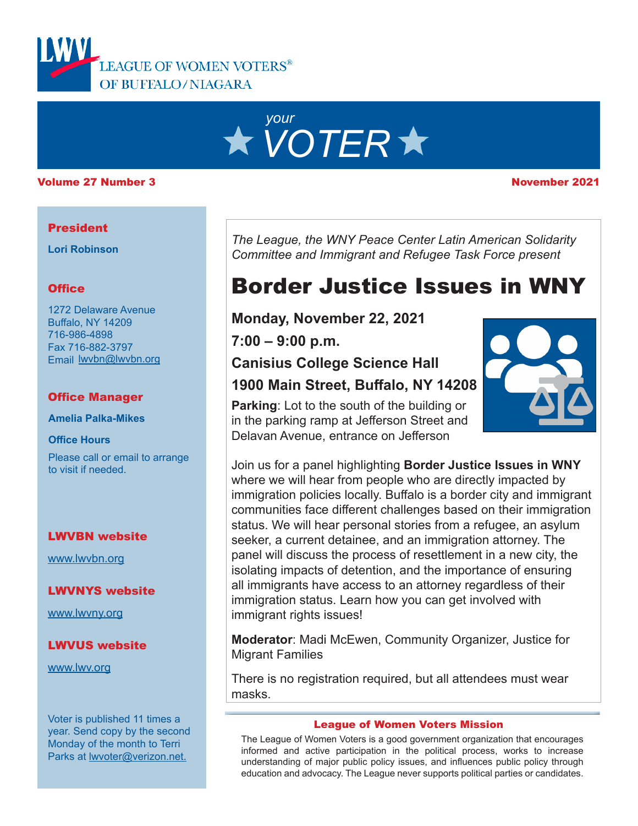



#### Volume 27 Number 3 November 2021

#### **President**

**Lori Robinson**

### **Office**

1272 Delaware Avenue Buffalo, NY 14209 716-986-4898 Fax 716-882-3797 Email lwvbn@lwvbn.org

### Office Manager

**Amelia Palka-Mikes**

**Office Hours**

Please call or email to arrange to visit if needed.

### LWVBN website

[www.lwvbn.org](https://www.lwvbn.org/)

### LWVNYS website

[www.lwvny.org](https://www.lwvny.org/)

### LWVUS website

[www.lwv.org](https://www.lwv.org/)

Voter is published 11 times a year. Send copy by the second Monday of the month to Terri Parks at [lwvoter@verizon.net](mailto://lwvoter@verizon.net).

*The League, the WNY Peace Center Latin American Solidarity Committee and Immigrant and Refugee Task Force present*

# Border Justice Issues in WNY

**Monday, November 22, 2021**

**7:00 – 9:00 p.m.**

## **Canisius College Science Hall**

### **1900 Main Street, Buffalo, NY 14208**

**Parking**: Lot to the south of the building or in the parking ramp at Jefferson Street and Delavan Avenue, entrance on Jefferson

Join us for a panel highlighting **Border Justice Issues in WNY** where we will hear from people who are directly impacted by immigration policies locally. Buffalo is a border city and immigrant communities face different challenges based on their immigration status. We will hear personal stories from a refugee, an asylum seeker, a current detainee, and an immigration attorney. The panel will discuss the process of resettlement in a new city, the isolating impacts of detention, and the importance of ensuring all immigrants have access to an attorney regardless of their immigration status. Learn how you can get involved with immigrant rights issues!

**Moderator**: Madi McEwen, Community Organizer, Justice for Migrant Families

There is no registration required, but all attendees must wear masks.

#### League of Women Voters Mission

The League of Women Voters is a good government organization that encourages informed and active participation in the political process, works to increase understanding of major public policy issues, and influences public policy through education and advocacy. The League never supports political parties or candidates.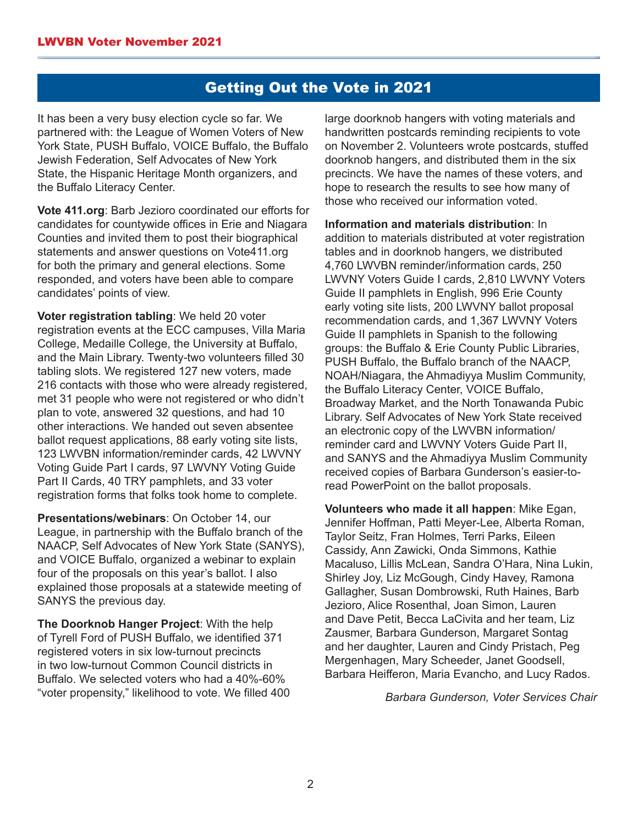### Getting Out the Vote in 2021

It has been a very busy election cycle so far. We partnered with: the League of Women Voters of New York State, PUSH Buffalo, VOICE Buffalo, the Buffalo Jewish Federation, Self Advocates of New York State, the Hispanic Heritage Month organizers, and the Buffalo Literacy Center.

**Vote 411.org**: Barb Jezioro coordinated our efforts for candidates for countywide offices in Erie and Niagara Counties and invited them to post their biographical statements and answer questions on Vote411.org for both the primary and general elections. Some responded, and voters have been able to compare candidates' points of view.

**Voter registration tabling**: We held 20 voter registration events at the ECC campuses, Villa Maria College, Medaille College, the University at Buffalo, and the Main Library. Twenty-two volunteers filled 30 tabling slots. We registered 127 new voters, made 216 contacts with those who were already registered, met 31 people who were not registered or who didn't plan to vote, answered 32 questions, and had 10 other interactions. We handed out seven absentee ballot request applications, 88 early voting site lists, 123 LWVBN information/reminder cards, 42 LWVNY Voting Guide Part I cards, 97 LWVNY Voting Guide Part II Cards, 40 TRY pamphlets, and 33 voter registration forms that folks took home to complete.

**Presentations/webinars**: On October 14, our League, in partnership with the Buffalo branch of the NAACP, Self Advocates of New York State (SANYS), and VOICE Buffalo, organized a webinar to explain four of the proposals on this year's ballot. I also explained those proposals at a statewide meeting of SANYS the previous day.

**The Doorknob Hanger Project**: With the help of Tyrell Ford of PUSH Buffalo, we identified 371 registered voters in six low-turnout precincts in two low-turnout Common Council districts in Buffalo. We selected voters who had a 40%-60% "voter propensity," likelihood to vote. We filled 400 large doorknob hangers with voting materials and handwritten postcards reminding recipients to vote on November 2. Volunteers wrote postcards, stuffed doorknob hangers, and distributed them in the six precincts. We have the names of these voters, and hope to research the results to see how many of those who received our information voted.

**Information and materials distribution**: In addition to materials distributed at voter registration tables and in doorknob hangers, we distributed 4,760 LWVBN reminder/information cards, 250 LWVNY Voters Guide I cards, 2,810 LWVNY Voters Guide II pamphlets in English, 996 Erie County early voting site lists, 200 LWVNY ballot proposal recommendation cards, and 1,367 LWVNY Voters Guide II pamphlets in Spanish to the following groups: the Buffalo & Erie County Public Libraries, PUSH Buffalo, the Buffalo branch of the NAACP, NOAH/Niagara, the Ahmadiyya Muslim Community, the Buffalo Literacy Center, VOICE Buffalo, Broadway Market, and the North Tonawanda Pubic Library. Self Advocates of New York State received an electronic copy of the LWVBN information/ reminder card and LWVNY Voters Guide Part II, and SANYS and the Ahmadiyya Muslim Community received copies of Barbara Gunderson's easier-toread PowerPoint on the ballot proposals.

**Volunteers who made it all happen**: Mike Egan, Jennifer Hoffman, Patti Meyer-Lee, Alberta Roman, Taylor Seitz, Fran Holmes, Terri Parks, Eileen Cassidy, Ann Zawicki, Onda Simmons, Kathie Macaluso, Lillis McLean, Sandra O'Hara, Nina Lukin, Shirley Joy, Liz McGough, Cindy Havey, Ramona Gallagher, Susan Dombrowski, Ruth Haines, Barb Jezioro, Alice Rosenthal, Joan Simon, Lauren and Dave Petit, Becca LaCivita and her team, Liz Zausmer, Barbara Gunderson, Margaret Sontag and her daughter, Lauren and Cindy Pristach, Peg Mergenhagen, Mary Scheeder, Janet Goodsell, Barbara Heifferon, Maria Evancho, and Lucy Rados.

*Barbara Gunderson, Voter Services Chair*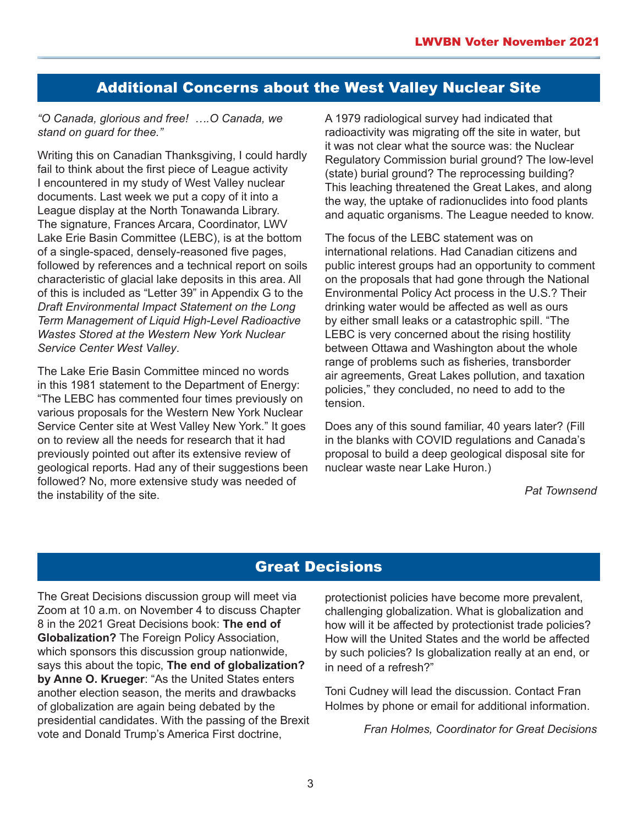### Additional Concerns about the West Valley Nuclear Site

#### *"O Canada, glorious and free! ….O Canada, we stand on guard for thee."*

Writing this on Canadian Thanksgiving, I could hardly fail to think about the first piece of League activity I encountered in my study of West Valley nuclear documents. Last week we put a copy of it into a League display at the North Tonawanda Library. The signature, Frances Arcara, Coordinator, LWV Lake Erie Basin Committee (LEBC), is at the bottom of a single-spaced, densely-reasoned five pages, followed by references and a technical report on soils characteristic of glacial lake deposits in this area. All of this is included as "Letter 39" in Appendix G to the *Draft Environmental Impact Statement on the Long Term Management of Liquid High-Level Radioactive Wastes Stored at the Western New York Nuclear Service Center West Valley*.

The Lake Erie Basin Committee minced no words in this 1981 statement to the Department of Energy: "The LEBC has commented four times previously on various proposals for the Western New York Nuclear Service Center site at West Valley New York." It goes on to review all the needs for research that it had previously pointed out after its extensive review of geological reports. Had any of their suggestions been followed? No, more extensive study was needed of the instability of the site.

A 1979 radiological survey had indicated that radioactivity was migrating off the site in water, but it was not clear what the source was: the Nuclear Regulatory Commission burial ground? The low-level (state) burial ground? The reprocessing building? This leaching threatened the Great Lakes, and along the way, the uptake of radionuclides into food plants and aquatic organisms. The League needed to know.

The focus of the LEBC statement was on international relations. Had Canadian citizens and public interest groups had an opportunity to comment on the proposals that had gone through the National Environmental Policy Act process in the U.S.? Their drinking water would be affected as well as ours by either small leaks or a catastrophic spill. "The LEBC is very concerned about the rising hostility between Ottawa and Washington about the whole range of problems such as fisheries, transborder air agreements, Great Lakes pollution, and taxation policies," they concluded, no need to add to the tension.

Does any of this sound familiar, 40 years later? (Fill in the blanks with COVID regulations and Canada's proposal to build a deep geological disposal site for nuclear waste near Lake Huron.)

*Pat Townsend*

### Great Decisions

The Great Decisions discussion group will meet via Zoom at 10 a.m. on November 4 to discuss Chapter 8 in the 2021 Great Decisions book: **The end of Globalization?** The Foreign Policy Association, which sponsors this discussion group nationwide, says this about the topic, **The end of globalization? by Anne O. Krueger**: "As the United States enters another election season, the merits and drawbacks of globalization are again being debated by the presidential candidates. With the passing of the Brexit vote and Donald Trump's America First doctrine,

protectionist policies have become more prevalent, challenging globalization. What is globalization and how will it be affected by protectionist trade policies? How will the United States and the world be affected by such policies? Is globalization really at an end, or in need of a refresh?"

Toni Cudney will lead the discussion. Contact Fran Holmes by phone or email for additional information.

*Fran Holmes, Coordinator for Great Decisions*